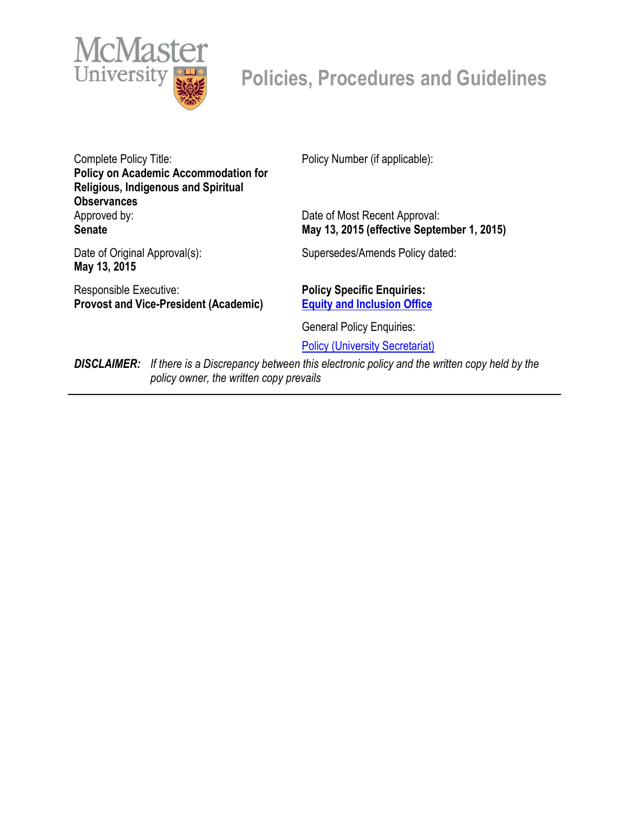

# **Policies, Procedures and Guidelines**

Complete Policy Title: **Policy on Academic Accommodation for Religious, Indigenous and Spiritual Observances** Approved by: **Senate**

Policy Number (if applicable):

Date of Most Recent Approval: **May 13, 2015 (effective September 1, 2015)**

Date of Original Approval(s): **May 13, 2015**

Responsible Executive: **Provost and Vice-President (Academic)** Supersedes/Amends Policy dated:

**Policy Specific Enquiries: [Equity and Inclusion Office](mailto:equity@mcmaster.ca%20%3cequity@mcmaster.ca%3e;)**

General Policy Enquiries:

[Policy \(University Secretariat\)](mailto:policy@mcmaster.ca?subject=%20Inquiry)

*DISCLAIMER: If there is a Discrepancy between this electronic policy and the written copy held by the policy owner, the written copy prevails*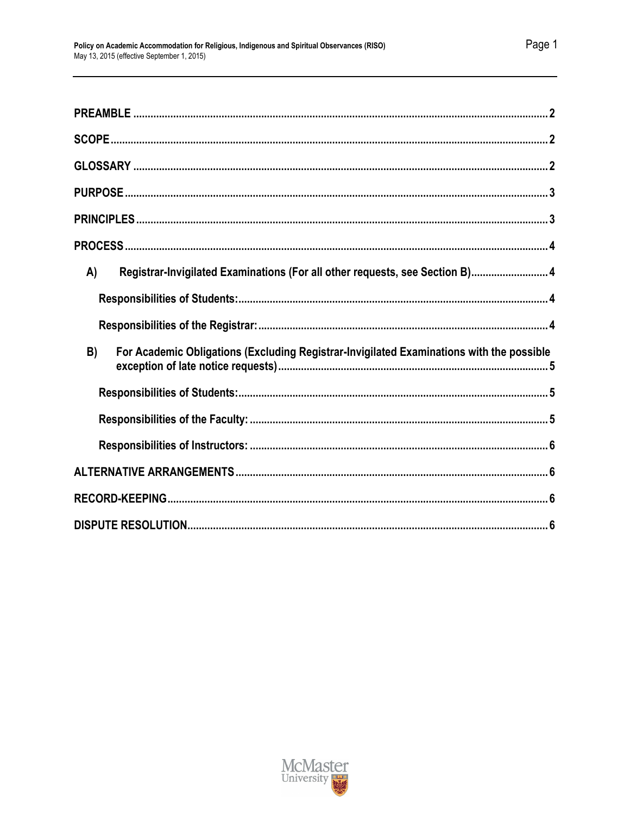| A) | Registrar-Invigilated Examinations (For all other requests, see Section B) 4             |
|----|------------------------------------------------------------------------------------------|
|    |                                                                                          |
|    |                                                                                          |
| B) | For Academic Obligations (Excluding Registrar-Invigilated Examinations with the possible |
|    |                                                                                          |
|    |                                                                                          |
|    |                                                                                          |
|    |                                                                                          |
|    |                                                                                          |
|    |                                                                                          |

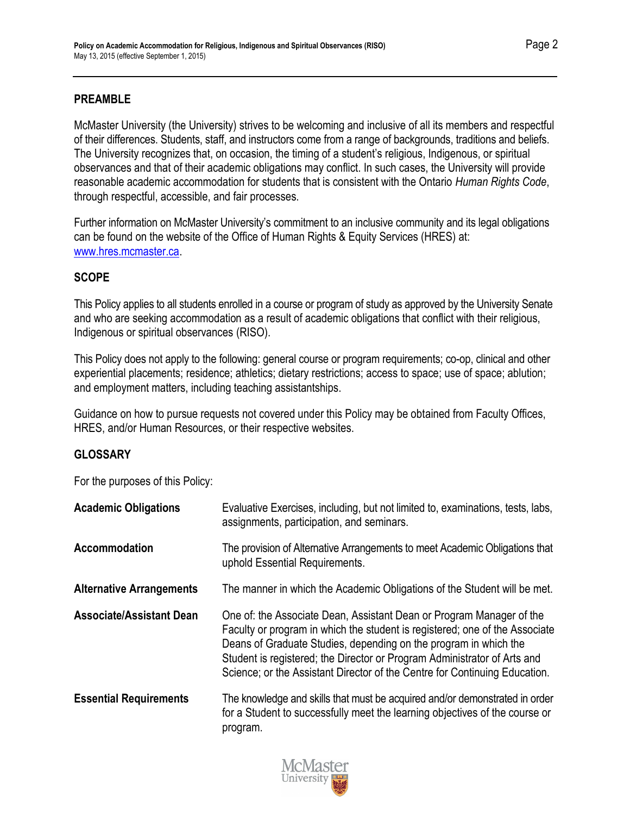## <span id="page-2-0"></span>**PREAMBLE**

McMaster University (the University) strives to be welcoming and inclusive of all its members and respectful of their differences. Students, staff, and instructors come from a range of backgrounds, traditions and beliefs. The University recognizes that, on occasion, the timing of a student's religious, Indigenous, or spiritual observances and that of their academic obligations may conflict. In such cases, the University will provide reasonable academic accommodation for students that is consistent with the Ontario *Human Rights Code*, through respectful, accessible, and fair processes.

Further information on McMaster University's commitment to an inclusive community and its legal obligations can be found on the website of the Office of Human Rights & Equity Services (HRES) at: [www.hres.mcmaster.ca.](http://www.hres.mcmaster.ca/)

# <span id="page-2-1"></span>**SCOPE**

This Policy applies to all students enrolled in a course or program of study as approved by the University Senate and who are seeking accommodation as a result of academic obligations that conflict with their religious, Indigenous or spiritual observances (RISO).

This Policy does not apply to the following: general course or program requirements; co-op, clinical and other experiential placements; residence; athletics; dietary restrictions; access to space; use of space; ablution; and employment matters, including teaching assistantships.

Guidance on how to pursue requests not covered under this Policy may be obtained from Faculty Offices, HRES, and/or Human Resources, or their respective websites.

#### <span id="page-2-2"></span>**GLOSSARY**

For the purposes of this Policy:

| <b>Academic Obligations</b>     | Evaluative Exercises, including, but not limited to, examinations, tests, labs,<br>assignments, participation, and seminars.                                                                                                                                                                                                                                                      |
|---------------------------------|-----------------------------------------------------------------------------------------------------------------------------------------------------------------------------------------------------------------------------------------------------------------------------------------------------------------------------------------------------------------------------------|
| Accommodation                   | The provision of Alternative Arrangements to meet Academic Obligations that<br>uphold Essential Requirements.                                                                                                                                                                                                                                                                     |
| <b>Alternative Arrangements</b> | The manner in which the Academic Obligations of the Student will be met.                                                                                                                                                                                                                                                                                                          |
| <b>Associate/Assistant Dean</b> | One of: the Associate Dean, Assistant Dean or Program Manager of the<br>Faculty or program in which the student is registered; one of the Associate<br>Deans of Graduate Studies, depending on the program in which the<br>Student is registered; the Director or Program Administrator of Arts and<br>Science; or the Assistant Director of the Centre for Continuing Education. |
| <b>Essential Requirements</b>   | The knowledge and skills that must be acquired and/or demonstrated in order<br>for a Student to successfully meet the learning objectives of the course or<br>program.                                                                                                                                                                                                            |

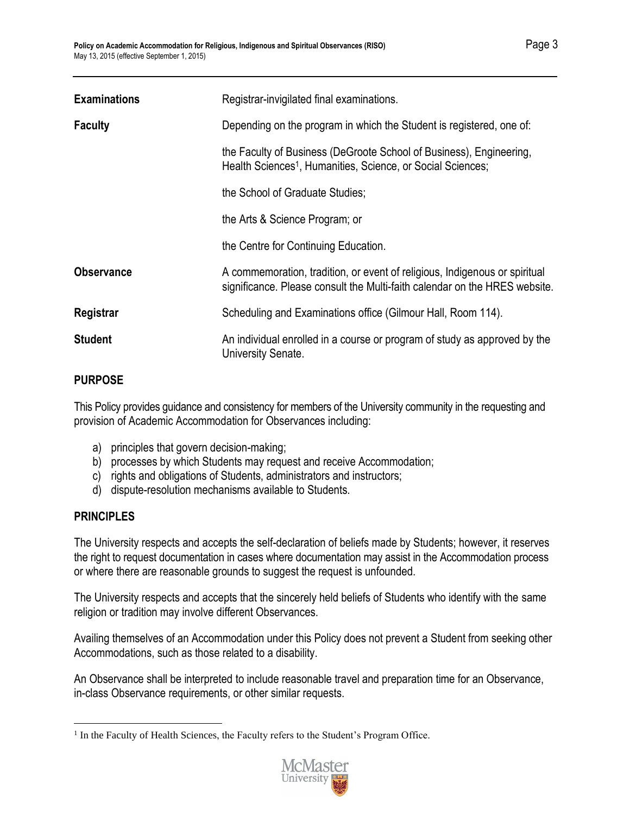| <b>Examinations</b> | Registrar-invigilated final examinations.                                                                                                                |
|---------------------|----------------------------------------------------------------------------------------------------------------------------------------------------------|
| <b>Faculty</b>      | Depending on the program in which the Student is registered, one of:                                                                                     |
|                     | the Faculty of Business (DeGroote School of Business), Engineering,<br>Health Sciences <sup>1</sup> , Humanities, Science, or Social Sciences;           |
|                     | the School of Graduate Studies;                                                                                                                          |
|                     | the Arts & Science Program; or                                                                                                                           |
|                     | the Centre for Continuing Education.                                                                                                                     |
| <b>Observance</b>   | A commemoration, tradition, or event of religious, Indigenous or spiritual<br>significance. Please consult the Multi-faith calendar on the HRES website. |
| Registrar           | Scheduling and Examinations office (Gilmour Hall, Room 114).                                                                                             |
| <b>Student</b>      | An individual enrolled in a course or program of study as approved by the<br>University Senate.                                                          |

# <span id="page-3-0"></span>**PURPOSE**

This Policy provides guidance and consistency for members of the University community in the requesting and provision of Academic Accommodation for Observances including:

- a) principles that govern decision-making;
- b) processes by which Students may request and receive Accommodation;
- c) rights and obligations of Students, administrators and instructors;
- d) dispute-resolution mechanisms available to Students.

# <span id="page-3-1"></span>**PRINCIPLES**

The University respects and accepts the self-declaration of beliefs made by Students; however, it reserves the right to request documentation in cases where documentation may assist in the Accommodation process or where there are reasonable grounds to suggest the request is unfounded.

The University respects and accepts that the sincerely held beliefs of Students who identify with the same religion or tradition may involve different Observances.

Availing themselves of an Accommodation under this Policy does not prevent a Student from seeking other Accommodations, such as those related to a disability.

An Observance shall be interpreted to include reasonable travel and preparation time for an Observance, in-class Observance requirements, or other similar requests.

 $\overline{a}$ <sup>1</sup> In the Faculty of Health Sciences, the Faculty refers to the Student's Program Office.

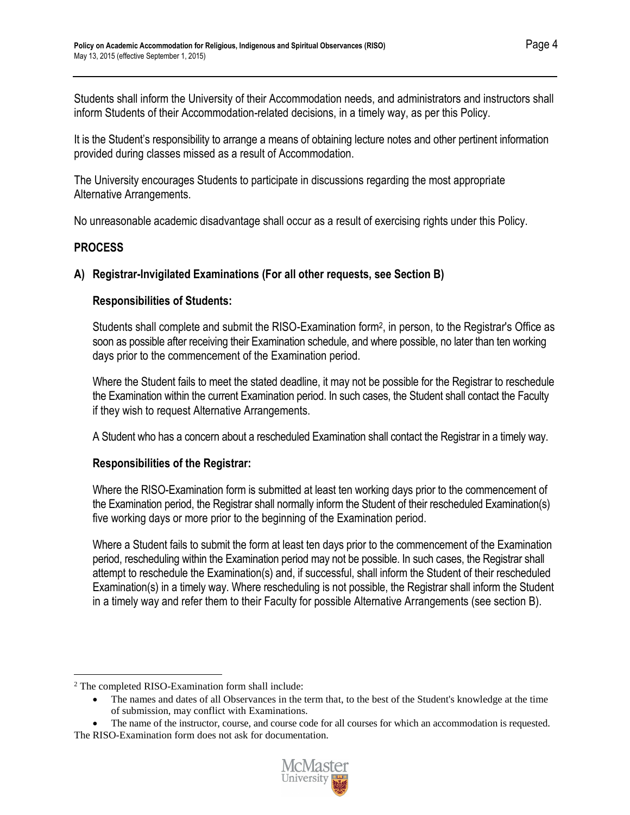Students shall inform the University of their Accommodation needs, and administrators and instructors shall inform Students of their Accommodation-related decisions, in a timely way, as per this Policy.

It is the Student's responsibility to arrange a means of obtaining lecture notes and other pertinent information provided during classes missed as a result of Accommodation.

The University encourages Students to participate in discussions regarding the most appropriate Alternative Arrangements.

No unreasonable academic disadvantage shall occur as a result of exercising rights under this Policy.

# <span id="page-4-0"></span>**PROCESS**

 $\overline{a}$ 

# <span id="page-4-1"></span>**A) Registrar-Invigilated Examinations (For all other requests, see Section B)**

# <span id="page-4-2"></span>**Responsibilities of Students:**

Students shall complete and submit the RISO-Examination form<sup>2</sup> , in person, to the Registrar's Office as soon as possible after receiving their Examination schedule, and where possible, no later than ten working days prior to the commencement of the Examination period.

Where the Student fails to meet the stated deadline, it may not be possible for the Registrar to reschedule the Examination within the current Examination period. In such cases, the Student shall contact the Faculty if they wish to request Alternative Arrangements.

A Student who has a concern about a rescheduled Examination shall contact the Registrar in a timely way.

#### <span id="page-4-3"></span>**Responsibilities of the Registrar:**

Where the RISO-Examination form is submitted at least ten working days prior to the commencement of the Examination period, the Registrar shall normally inform the Student of their rescheduled Examination(s) five working days or more prior to the beginning of the Examination period.

Where a Student fails to submit the form at least ten days prior to the commencement of the Examination period, rescheduling within the Examination period may not be possible. In such cases, the Registrar shall attempt to reschedule the Examination(s) and, if successful, shall inform the Student of their rescheduled Examination(s) in a timely way. Where rescheduling is not possible, the Registrar shall inform the Student in a timely way and refer them to their Faculty for possible Alternative Arrangements (see section B).

<sup>•</sup> The name of the instructor, course, and course code for all courses for which an accommodation is requested. The RISO-Examination form does not ask for documentation.



<sup>2</sup> The completed RISO-Examination form shall include:

<sup>•</sup> The names and dates of all Observances in the term that, to the best of the Student's knowledge at the time of submission, may conflict with Examinations.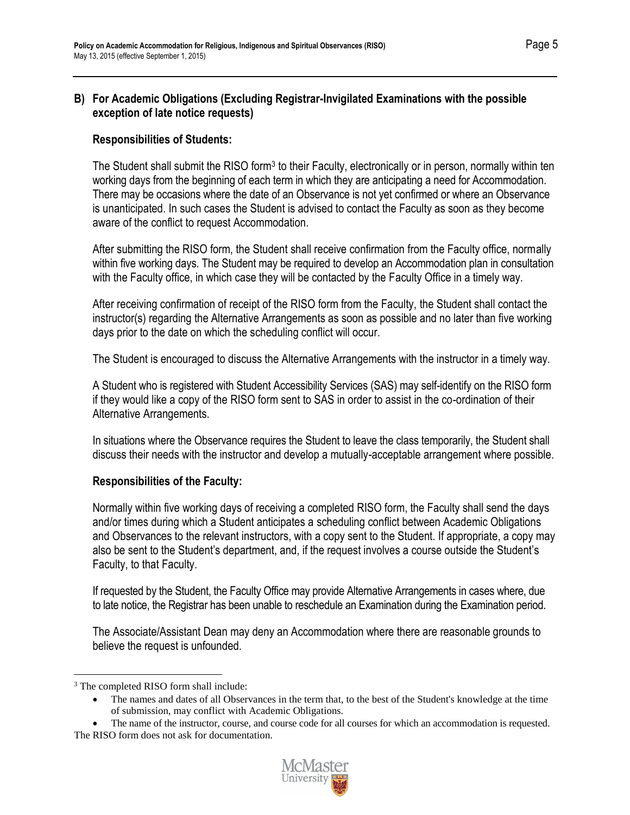#### <span id="page-5-0"></span>**B) For Academic Obligations (Excluding Registrar-Invigilated Examinations with the possible exception of late notice requests)**

## <span id="page-5-1"></span>**Responsibilities of Students:**

The Student shall submit the RISO form<sup>3</sup> to their Faculty, electronically or in person, normally within ten working days from the beginning of each term in which they are anticipating a need for Accommodation. There may be occasions where the date of an Observance is not yet confirmed or where an Observance is unanticipated. In such cases the Student is advised to contact the Faculty as soon as they become aware of the conflict to request Accommodation.

After submitting the RISO form, the Student shall receive confirmation from the Faculty office, normally within five working days. The Student may be required to develop an Accommodation plan in consultation with the Faculty office, in which case they will be contacted by the Faculty Office in a timely way.

After receiving confirmation of receipt of the RISO form from the Faculty, the Student shall contact the instructor(s) regarding the Alternative Arrangements as soon as possible and no later than five working days prior to the date on which the scheduling conflict will occur.

The Student is encouraged to discuss the Alternative Arrangements with the instructor in a timely way.

A Student who is registered with Student Accessibility Services (SAS) may self-identify on the RISO form if they would like a copy of the RISO form sent to SAS in order to assist in the co-ordination of their Alternative Arrangements.

In situations where the Observance requires the Student to leave the class temporarily, the Student shall discuss their needs with the instructor and develop a mutually-acceptable arrangement where possible.

# <span id="page-5-2"></span>**Responsibilities of the Faculty:**

Normally within five working days of receiving a completed RISO form, the Faculty shall send the days and/or times during which a Student anticipates a scheduling conflict between Academic Obligations and Observances to the relevant instructors, with a copy sent to the Student. If appropriate, a copy may also be sent to the Student's department, and, if the request involves a course outside the Student's Faculty, to that Faculty.

If requested by the Student, the Faculty Office may provide Alternative Arrangements in cases where, due to late notice, the Registrar has been unable to reschedule an Examination during the Examination period.

The Associate/Assistant Dean may deny an Accommodation where there are reasonable grounds to believe the request is unfounded.

 $\overline{a}$ 

<sup>•</sup> The name of the instructor, course, and course code for all courses for which an accommodation is requested. The RISO form does not ask for documentation.



<sup>&</sup>lt;sup>3</sup> The completed RISO form shall include:

<sup>•</sup> The names and dates of all Observances in the term that, to the best of the Student's knowledge at the time of submission, may conflict with Academic Obligations.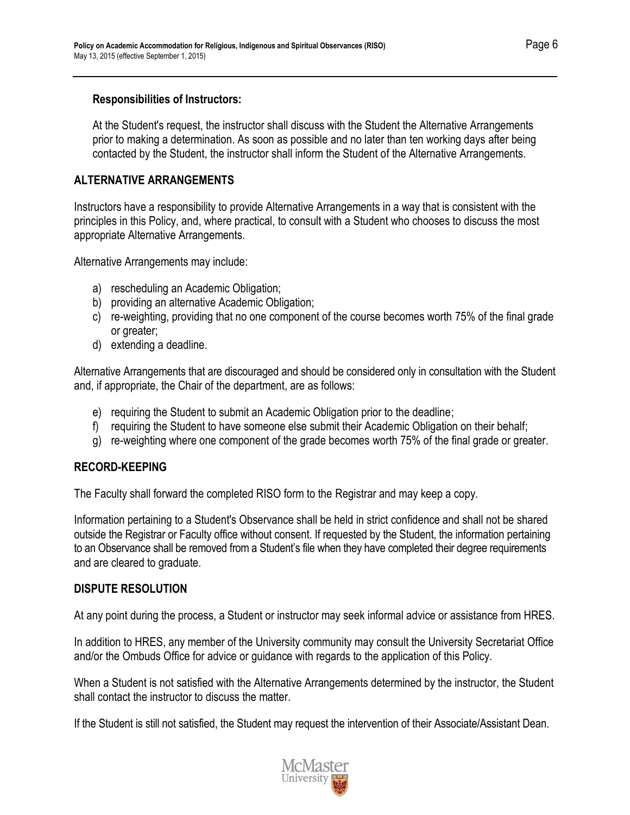#### <span id="page-6-0"></span>**Responsibilities of Instructors:**

At the Student's request, the instructor shall discuss with the Student the Alternative Arrangements prior to making a determination. As soon as possible and no later than ten working days after being contacted by the Student, the instructor shall inform the Student of the Alternative Arrangements.

# <span id="page-6-1"></span>**ALTERNATIVE ARRANGEMENTS**

Instructors have a responsibility to provide Alternative Arrangements in a way that is consistent with the principles in this Policy, and, where practical, to consult with a Student who chooses to discuss the most appropriate Alternative Arrangements.

Alternative Arrangements may include:

- a) rescheduling an Academic Obligation;
- b) providing an alternative Academic Obligation;
- c) re-weighting, providing that no one component of the course becomes worth 75% of the final grade or greater;
- d) extending a deadline.

Alternative Arrangements that are discouraged and should be considered only in consultation with the Student and, if appropriate, the Chair of the department, are as follows:

- e) requiring the Student to submit an Academic Obligation prior to the deadline;
- f) requiring the Student to have someone else submit their Academic Obligation on their behalf;
- g) re-weighting where one component of the grade becomes worth 75% of the final grade or greater.

#### <span id="page-6-2"></span>**RECORD-KEEPING**

The Faculty shall forward the completed RISO form to the Registrar and may keep a copy.

Information pertaining to a Student's Observance shall be held in strict confidence and shall not be shared outside the Registrar or Faculty office without consent. If requested by the Student, the information pertaining to an Observance shall be removed from a Student's file when they have completed their degree requirements and are cleared to graduate.

#### <span id="page-6-3"></span>**DISPUTE RESOLUTION**

At any point during the process, a Student or instructor may seek informal advice or assistance from HRES.

In addition to HRES, any member of the University community may consult the University Secretariat Office and/or the Ombuds Office for advice or guidance with regards to the application of this Policy.

When a Student is not satisfied with the Alternative Arrangements determined by the instructor, the Student shall contact the instructor to discuss the matter.

If the Student is still not satisfied, the Student may request the intervention of their Associate/Assistant Dean.